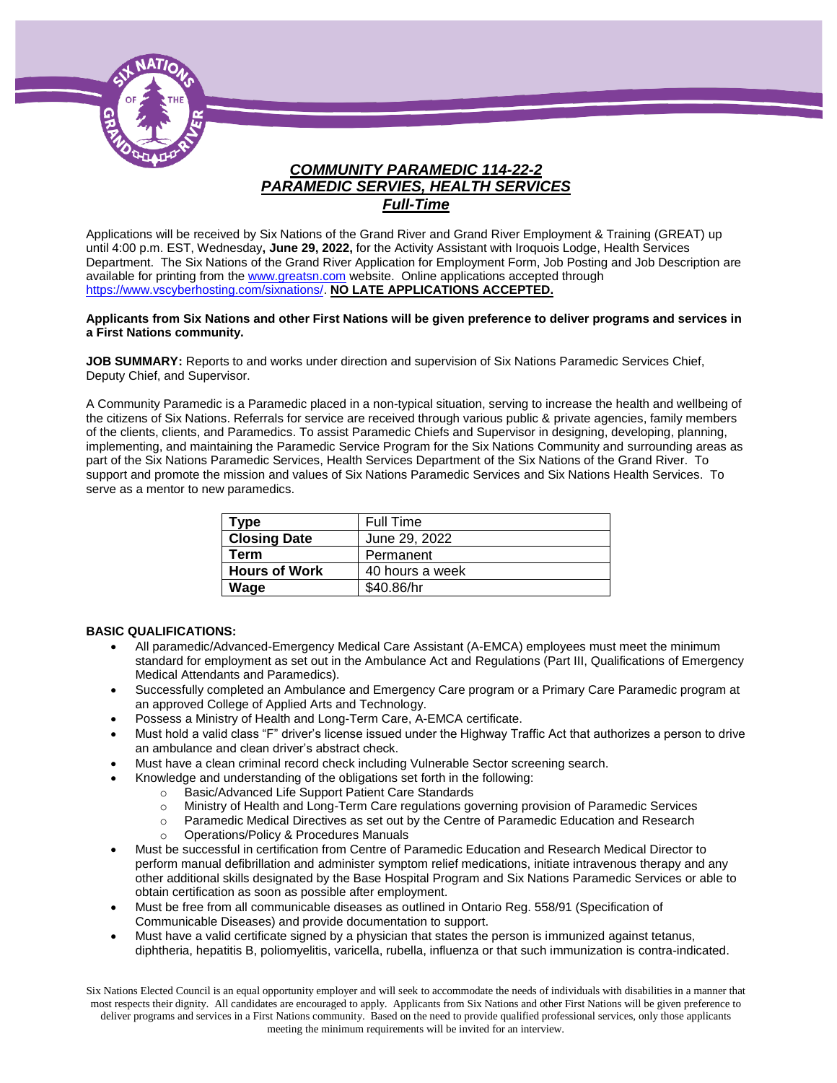

# *COMMUNITY PARAMEDIC 114-22-2 PARAMEDIC SERVIES, HEALTH SERVICES Full-Time*

Applications will be received by Six Nations of the Grand River and Grand River Employment & Training (GREAT) up until 4:00 p.m. EST, Wednesday**, June 29, 2022,** for the Activity Assistant with Iroquois Lodge, Health Services Department. The Six Nations of the Grand River Application for Employment Form, Job Posting and Job Description are available for printing from th[e www.greatsn.com](http://www.greatsn.com/) website. Online applications accepted through [https://www.vscyberhosting.com/sixnations/.](https://www.vscyberhosting.com/sixnations/) **NO LATE APPLICATIONS ACCEPTED.**

#### **Applicants from Six Nations and other First Nations will be given preference to deliver programs and services in a First Nations community.**

**JOB SUMMARY:** Reports to and works under direction and supervision of Six Nations Paramedic Services Chief, Deputy Chief, and Supervisor.

A Community Paramedic is a Paramedic placed in a non-typical situation, serving to increase the health and wellbeing of the citizens of Six Nations. Referrals for service are received through various public & private agencies, family members of the clients, clients, and Paramedics. To assist Paramedic Chiefs and Supervisor in designing, developing, planning, implementing, and maintaining the Paramedic Service Program for the Six Nations Community and surrounding areas as part of the Six Nations Paramedic Services, Health Services Department of the Six Nations of the Grand River. To support and promote the mission and values of Six Nations Paramedic Services and Six Nations Health Services. To serve as a mentor to new paramedics.

| Type                 | <b>Full Time</b> |
|----------------------|------------------|
| <b>Closing Date</b>  | June 29, 2022    |
| Term                 | Permanent        |
| <b>Hours of Work</b> | 40 hours a week  |
| Wage                 | \$40.86/hr       |

#### **BASIC QUALIFICATIONS:**

- All paramedic/Advanced-Emergency Medical Care Assistant (A-EMCA) employees must meet the minimum standard for employment as set out in the Ambulance Act and Regulations (Part III, Qualifications of Emergency Medical Attendants and Paramedics).
- Successfully completed an Ambulance and Emergency Care program or a Primary Care Paramedic program at an approved College of Applied Arts and Technology.
- Possess a Ministry of Health and Long-Term Care, A-EMCA certificate.
- Must hold a valid class "F" driver's license issued under the Highway Traffic Act that authorizes a person to drive an ambulance and clean driver's abstract check.
- Must have a clean criminal record check including Vulnerable Sector screening search.
- Knowledge and understanding of the obligations set forth in the following:
	- o Basic/Advanced Life Support Patient Care Standards
	- o Ministry of Health and Long-Term Care regulations governing provision of Paramedic Services
	- o Paramedic Medical Directives as set out by the Centre of Paramedic Education and Research
	- Operations/Policy & Procedures Manuals
- Must be successful in certification from Centre of Paramedic Education and Research Medical Director to perform manual defibrillation and administer symptom relief medications, initiate intravenous therapy and any other additional skills designated by the Base Hospital Program and Six Nations Paramedic Services or able to obtain certification as soon as possible after employment.
- Must be free from all communicable diseases as outlined in Ontario Reg. 558/91 (Specification of Communicable Diseases) and provide documentation to support.
- Must have a valid certificate signed by a physician that states the person is immunized against tetanus, diphtheria, hepatitis B, poliomyelitis, varicella, rubella, influenza or that such immunization is contra-indicated.

Six Nations Elected Council is an equal opportunity employer and will seek to accommodate the needs of individuals with disabilities in a manner that most respects their dignity. All candidates are encouraged to apply. Applicants from Six Nations and other First Nations will be given preference to deliver programs and services in a First Nations community. Based on the need to provide qualified professional services, only those applicants meeting the minimum requirements will be invited for an interview.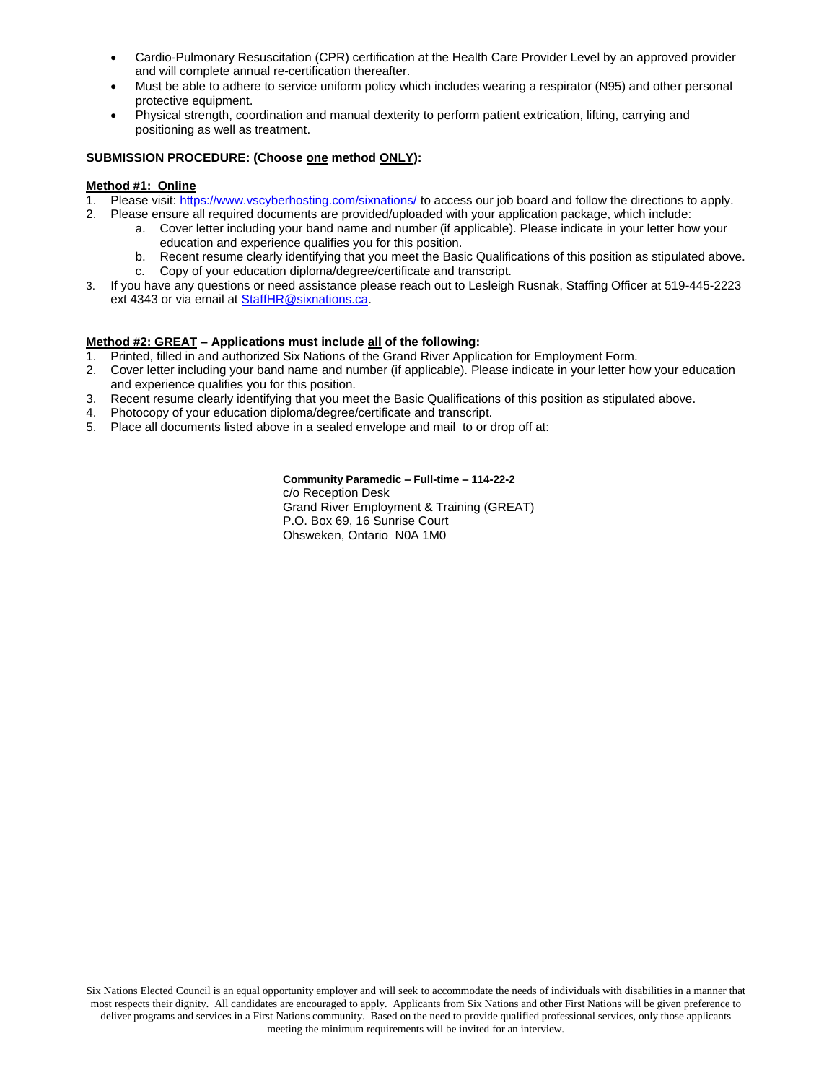- Cardio-Pulmonary Resuscitation (CPR) certification at the Health Care Provider Level by an approved provider and will complete annual re-certification thereafter.
- Must be able to adhere to service uniform policy which includes wearing a respirator (N95) and other personal protective equipment.
- Physical strength, coordination and manual dexterity to perform patient extrication, lifting, carrying and positioning as well as treatment.

#### **SUBMISSION PROCEDURE: (Choose one method ONLY):**

#### **Method #1: Online**

- Please visit[: https://www.vscyberhosting.com/sixnations/](https://www.vscyberhosting.com/sixnations/) to access our job board and follow the directions to apply.
- 2. Please ensure all required documents are provided/uploaded with your application package, which include:
	- a. Cover letter including your band name and number (if applicable). Please indicate in your letter how your education and experience qualifies you for this position.
	- b. Recent resume clearly identifying that you meet the Basic Qualifications of this position as stipulated above. c. Copy of your education diploma/degree/certificate and transcript.
- 3. If you have any questions or need assistance please reach out to Lesleigh Rusnak, Staffing Officer at 519-445-2223 ext 4343 or via email a[t StaffHR@sixnations.ca.](mailto:StaffHR@sixnations.ca)

#### **Method #2: GREAT – Applications must include all of the following:**

- 1. Printed, filled in and authorized Six Nations of the Grand River Application for Employment Form.
- 2. Cover letter including your band name and number (if applicable). Please indicate in your letter how your education and experience qualifies you for this position.
- 3. Recent resume clearly identifying that you meet the Basic Qualifications of this position as stipulated above.<br>4. Photocopy of your education diploma/degree/certificate and transcript.
- Photocopy of your education diploma/degree/certificate and transcript.
- 5. Place all documents listed above in a sealed envelope and mail to or drop off at:

**Community Paramedic – Full-time – 114-22-2** c/o Reception Desk Grand River Employment & Training (GREAT) P.O. Box 69, 16 Sunrise Court Ohsweken, Ontario N0A 1M0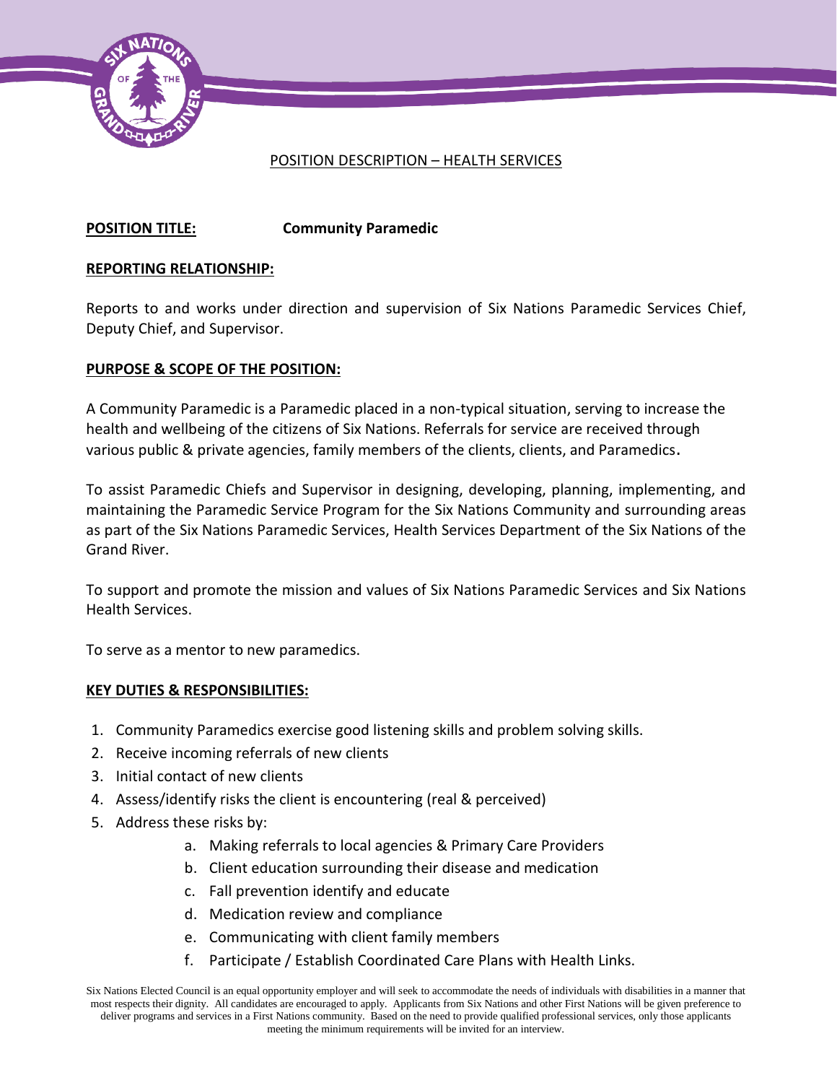

## POSITION DESCRIPTION – HEALTH SERVICES

# **POSITION TITLE: Community Paramedic**

## **REPORTING RELATIONSHIP:**

Reports to and works under direction and supervision of Six Nations Paramedic Services Chief, Deputy Chief, and Supervisor.

## **PURPOSE & SCOPE OF THE POSITION:**

A Community Paramedic is a Paramedic placed in a non-typical situation, serving to increase the health and wellbeing of the citizens of Six Nations. Referrals for service are received through various public & private agencies, family members of the clients, clients, and Paramedics.

To assist Paramedic Chiefs and Supervisor in designing, developing, planning, implementing, and maintaining the Paramedic Service Program for the Six Nations Community and surrounding areas as part of the Six Nations Paramedic Services, Health Services Department of the Six Nations of the Grand River.

To support and promote the mission and values of Six Nations Paramedic Services and Six Nations Health Services.

To serve as a mentor to new paramedics.

## **KEY DUTIES & RESPONSIBILITIES:**

- 1. Community Paramedics exercise good listening skills and problem solving skills.
- 2. Receive incoming referrals of new clients
- 3. Initial contact of new clients
- 4. Assess/identify risks the client is encountering (real & perceived)
- 5. Address these risks by:
	- a. Making referrals to local agencies & Primary Care Providers
	- b. Client education surrounding their disease and medication
	- c. Fall prevention identify and educate
	- d. Medication review and compliance
	- e. Communicating with client family members
	- f. Participate / Establish Coordinated Care Plans with Health Links.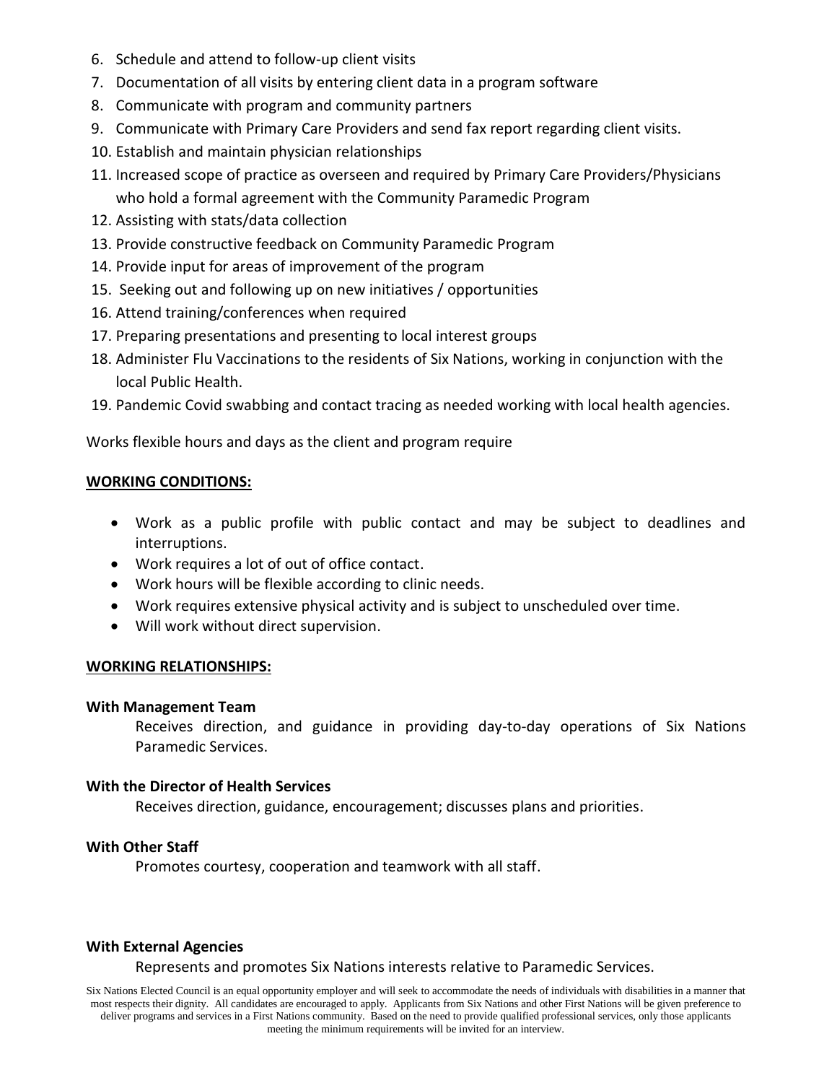- 6. Schedule and attend to follow-up client visits
- 7. Documentation of all visits by entering client data in a program software
- 8. Communicate with program and community partners
- 9. Communicate with Primary Care Providers and send fax report regarding client visits.
- 10. Establish and maintain physician relationships
- 11. Increased scope of practice as overseen and required by Primary Care Providers/Physicians who hold a formal agreement with the Community Paramedic Program
- 12. Assisting with stats/data collection
- 13. Provide constructive feedback on Community Paramedic Program
- 14. Provide input for areas of improvement of the program
- 15. Seeking out and following up on new initiatives / opportunities
- 16. Attend training/conferences when required
- 17. Preparing presentations and presenting to local interest groups
- 18. Administer Flu Vaccinations to the residents of Six Nations, working in conjunction with the local Public Health.
- 19. Pandemic Covid swabbing and contact tracing as needed working with local health agencies.

Works flexible hours and days as the client and program require

### **WORKING CONDITIONS:**

- Work as a public profile with public contact and may be subject to deadlines and interruptions.
- Work requires a lot of out of office contact.
- Work hours will be flexible according to clinic needs.
- Work requires extensive physical activity and is subject to unscheduled over time.
- Will work without direct supervision.

### **WORKING RELATIONSHIPS:**

### **With Management Team**

Receives direction, and guidance in providing day-to-day operations of Six Nations Paramedic Services.

### **With the Director of Health Services**

Receives direction, guidance, encouragement; discusses plans and priorities.

# **With Other Staff**

Promotes courtesy, cooperation and teamwork with all staff.

## **With External Agencies**

### Represents and promotes Six Nations interests relative to Paramedic Services.

Six Nations Elected Council is an equal opportunity employer and will seek to accommodate the needs of individuals with disabilities in a manner that most respects their dignity. All candidates are encouraged to apply. Applicants from Six Nations and other First Nations will be given preference to deliver programs and services in a First Nations community. Based on the need to provide qualified professional services, only those applicants meeting the minimum requirements will be invited for an interview.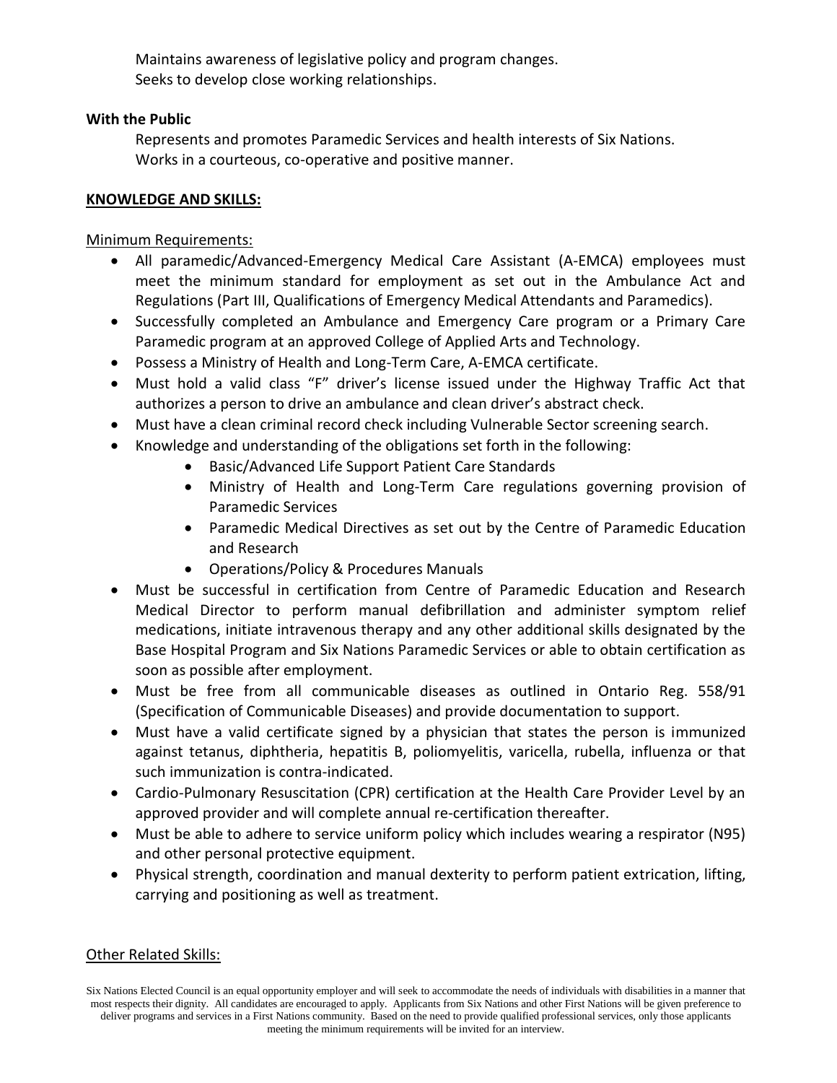Maintains awareness of legislative policy and program changes. Seeks to develop close working relationships.

## **With the Public**

Represents and promotes Paramedic Services and health interests of Six Nations. Works in a courteous, co-operative and positive manner.

## **KNOWLEDGE AND SKILLS:**

# Minimum Requirements:

- All paramedic/Advanced-Emergency Medical Care Assistant (A-EMCA) employees must meet the minimum standard for employment as set out in the Ambulance Act and Regulations (Part III, Qualifications of Emergency Medical Attendants and Paramedics).
- Successfully completed an Ambulance and Emergency Care program or a Primary Care Paramedic program at an approved College of Applied Arts and Technology.
- Possess a Ministry of Health and Long-Term Care, A-EMCA certificate.
- Must hold a valid class "F" driver's license issued under the Highway Traffic Act that authorizes a person to drive an ambulance and clean driver's abstract check.
- Must have a clean criminal record check including Vulnerable Sector screening search.
- Knowledge and understanding of the obligations set forth in the following:
	- Basic/Advanced Life Support Patient Care Standards
	- Ministry of Health and Long-Term Care regulations governing provision of Paramedic Services
	- Paramedic Medical Directives as set out by the Centre of Paramedic Education and Research
	- Operations/Policy & Procedures Manuals
- Must be successful in certification from Centre of Paramedic Education and Research Medical Director to perform manual defibrillation and administer symptom relief medications, initiate intravenous therapy and any other additional skills designated by the Base Hospital Program and Six Nations Paramedic Services or able to obtain certification as soon as possible after employment.
- Must be free from all communicable diseases as outlined in Ontario Reg. 558/91 (Specification of Communicable Diseases) and provide documentation to support.
- Must have a valid certificate signed by a physician that states the person is immunized against tetanus, diphtheria, hepatitis B, poliomyelitis, varicella, rubella, influenza or that such immunization is contra-indicated.
- Cardio-Pulmonary Resuscitation (CPR) certification at the Health Care Provider Level by an approved provider and will complete annual re-certification thereafter.
- Must be able to adhere to service uniform policy which includes wearing a respirator (N95) and other personal protective equipment.
- Physical strength, coordination and manual dexterity to perform patient extrication, lifting, carrying and positioning as well as treatment.

# Other Related Skills:

Six Nations Elected Council is an equal opportunity employer and will seek to accommodate the needs of individuals with disabilities in a manner that most respects their dignity. All candidates are encouraged to apply. Applicants from Six Nations and other First Nations will be given preference to deliver programs and services in a First Nations community. Based on the need to provide qualified professional services, only those applicants meeting the minimum requirements will be invited for an interview.